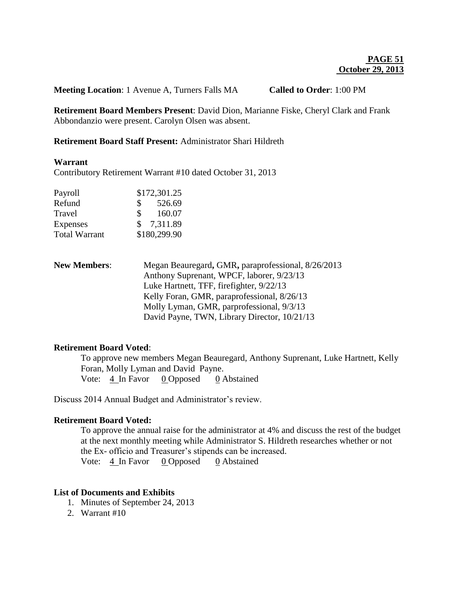**Meeting Location**: 1 Avenue A, Turners Falls MA **Called to Order**: 1:00 PM

**Retirement Board Members Present**: David Dion, Marianne Fiske, Cheryl Clark and Frank Abbondanzio were present. Carolyn Olsen was absent.

## **Retirement Board Staff Present:** Administrator Shari Hildreth

#### **Warrant**

Contributory Retirement Warrant #10 dated October 31, 2013

| Payroll              | \$172,301.25 |              |
|----------------------|--------------|--------------|
| Refund               | S.           | 526.69       |
| Travel               | \$           | 160.07       |
| Expenses             |              | \$7,311.89   |
| <b>Total Warrant</b> |              | \$180,299.90 |

**New Members**: Megan Beauregard**,** GMR**,** paraprofessional, 8/26/2013 Anthony Suprenant, WPCF, laborer, 9/23/13 Luke Hartnett, TFF, firefighter, 9/22/13 Kelly Foran, GMR, paraprofessional, 8/26/13 Molly Lyman, GMR, parprofessional, 9/3/13 David Payne, TWN, Library Director, 10/21/13

### **Retirement Board Voted**:

To approve new members Megan Beauregard, Anthony Suprenant, Luke Hartnett, Kelly Foran, Molly Lyman and David Payne. Vote: 4 In Favor 0 Opposed 0 Abstained

Discuss 2014 Annual Budget and Administrator's review.

### **Retirement Board Voted:**

To approve the annual raise for the administrator at 4% and discuss the rest of the budget at the next monthly meeting while Administrator S. Hildreth researches whether or not the Ex- officio and Treasurer's stipends can be increased. Vote: 4 In Favor 0 Opposed 0 Abstained

### **List of Documents and Exhibits**

- 1. Minutes of September 24, 2013
- 2. Warrant #10